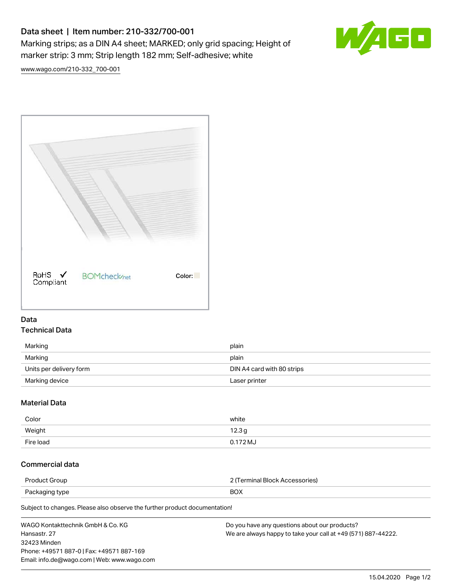# Data sheet | Item number: 210-332/700-001

Marking strips; as a DIN A4 sheet; MARKED; only grid spacing; Height of marker strip: 3 mm; Strip length 182 mm; Self-adhesive; white



[www.wago.com/210-332\\_700-001](http://www.wago.com/210-332_700-001)



#### Data Technical Data

| Marking                 | plain                      |
|-------------------------|----------------------------|
| Marking                 | plain                      |
| Units per delivery form | DIN A4 card with 80 strips |
| Marking device          | Laser printer              |

## Material Data

| Color     | white      |
|-----------|------------|
| Weight    | 12.3g      |
| Fire load | $0.172$ MJ |

## Commercial data

| Product Group  | ? (Terminal Block Accessories) |
|----------------|--------------------------------|
| Packaging type | <b>BOX</b>                     |
|                |                                |

Subject to changes. Please also observe the further product documentation!

| WAGO Kontakttechnik GmbH & Co. KG           | Do you have any questions about our products?                 |
|---------------------------------------------|---------------------------------------------------------------|
| Hansastr. 27                                | We are always happy to take your call at +49 (571) 887-44222. |
| 32423 Minden                                |                                                               |
| Phone: +49571 887-0   Fax: +49571 887-169   |                                                               |
| Email: info.de@wago.com   Web: www.wago.com |                                                               |